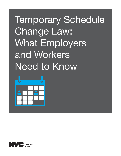# Temporary Schedule Change Law: What Employers and Workers Need to Know



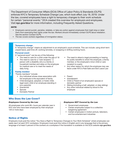The Department of Consumer Affairs (DCA) Office of Labor Policy & Standards (OLPS) enforces NYC's Temporary Schedule Change Law, which took effect July 18, 2018. Under the law, covered employees have a right to temporary changes to their work schedule for certain "personal events." DCA created this overview for employers and employees. Visit nyc.gov/dca for more information, including Frequently Asked Questions.

## *NOTE:*

Definitions

**Definitions** 

- Employers cannot punish, penalize, retaliate, or take any action against employees that might stop or deter them from exercising their rights under the law. Workers should immediately contact OLPS about retaliation. See the section Contact OLPS.
- The law covers workers regardless of immigration status.

#### Temporary change

A "temporary change" means an adjustment to an employee's usual schedule. This can include: using short-term unpaid leave, paid time off, working remotely, or swapping or shifting working hours.

### Personal event

A "personal event" can be any of the following:

• The need to care for a child under the age of 18 • The need to care for a "care recipient," a person with a disability who is a family or household member and relies on the employee for medical care or to meet the needs of daily living

### Family member

"Family members" include:

- Any individual whose close association with the employee is the equivalent of family
- Child (biological, adopted, or foster child; legal ward; child of an employee standing *in loco parentis*)
- Grandchild
- Spouse
- Domestic Partner
- The need to attend a legal proceeding or hearing for public benefits to which the employee, a family member, or the employee's minor child or care recipient is a party
- Any other reason for which the employee may use leave under NYC's Paid Safe and Sick Leave Law
- Parent
- Grandparent
- Child or Parent of an employee's spouse or domestic partner
- Sibling (including a half, adopted, or step sibling)
- Any other individual related by blood to the employee

## Who Does the Law Cover?

#### *Employees Covered by the Law*

All employees who work 80+ hours per calendar year in NYC *and* who have been employed by their employer 120 or more days

#### *Employees NOT Covered by the Law*

- **Government employees**
- Certain employees subject to a collective bargaining agreement
- Certain employees in motion picture, television, and live entertainment industries

# Notice of Rights

Employers must post the notice "You Have a Right to Temporary Changes to Your Work Schedule" where employees can easily see it at each NYC workplace. Employers must post this notice in English and in any language that is the primary language of at least 5 percent of the workers at a workplace if the translation is available on the DCA website nyc.gov/dca.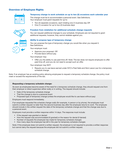## Overview of Employee Rights

## Temporary change to work schedule on up to two (2) occasions each calendar year

The change must be to accommodate a *personal event*. See Definitions. Your employer must grant requests for up to:

- Two (2) separate occasions, each totaling one (1) business day *OR*
- One (1) occasion for up to two (2) business days



#### Freedom from retaliation for additional schedule change requests

You can request additional changes to your schedule. Employers are not required to grant additional requests; however, they cannot retaliate against you.

#### Ability to propose type of temporary change

You can propose the type of *temporary change* you would like when you request it. See Definitions.

Your employer must:

- Approve your proposal. *OR*
- **Provide leave without pay.**

Your employer may:

 Offer you the ability to use paid time off. Note: The law does not require employers to offer paid time off, and you do not need to accept such an offer.

Your employer may NOT:

**Require you to use leave earned under NYC's Paid Safe and Sick Leave Law for a temporary** schedule change.

Note: If an employer has an existing policy allowing employees to request a temporary schedule change, the policy must meet or exceed the requirements of the law.

#### *Requesting a temporary schedule change:*

As soon as employees become aware of the need for a temporary schedule change, they should request one from their employer or direct supervisor either orally or in writing. The request should include:

- Date of the temporary schedule change
- That the change is due to a personal event
- Proposed type of temporary change (unless the employee would like to use leave without pay)

Employers must respond immediately.

*If an employee requested the schedule change orally (for example, in person or by phone),* the employee must submit a written request no later than the second business day after the employee returns to work. The employee should include in the written request the date of the temporary schedule change and that the change was due to a personal event.

Employers must provide a written response within 14 days. The response must include:

- **If the request was granted or denied**
- How the request was accommodated (if granted) or the reason for denial (if denied)
- Number of requests the employee has made for temporary schedule changes
- How many days the employee has left in the year for temporary schedule changes

Note: If the employee does not submit a written request, the employer is not required to provide a written response but cannot deny the request because the employee did not submit a written request.